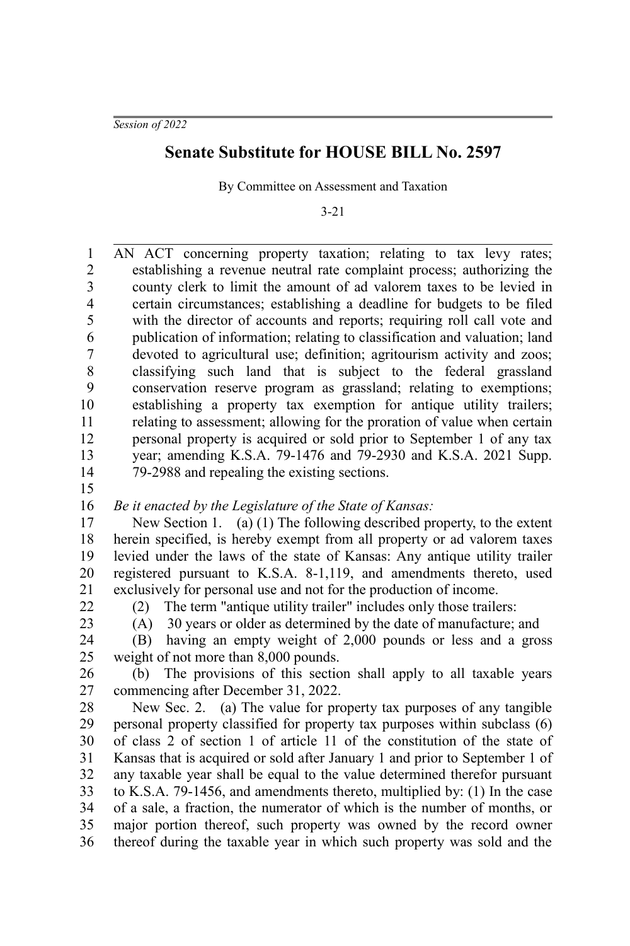*Session of 2022*

## **Senate Substitute for HOUSE BILL No. 2597**

By Committee on Assessment and Taxation

3-21

AN ACT concerning property taxation; relating to tax levy rates; establishing a revenue neutral rate complaint process; authorizing the county clerk to limit the amount of ad valorem taxes to be levied in certain circumstances; establishing a deadline for budgets to be filed with the director of accounts and reports; requiring roll call vote and publication of information; relating to classification and valuation; land devoted to agricultural use; definition; agritourism activity and zoos; classifying such land that is subject to the federal grassland conservation reserve program as grassland; relating to exemptions; establishing a property tax exemption for antique utility trailers; relating to assessment; allowing for the proration of value when certain personal property is acquired or sold prior to September 1 of any tax year; amending K.S.A. 79-1476 and 79-2930 and K.S.A. 2021 Supp. 79-2988 and repealing the existing sections. 1 2 3 4 5 6 7 8 9 10 11 12 13 14

15

*Be it enacted by the Legislature of the State of Kansas:* 16

New Section 1. (a) (1) The following described property, to the extent herein specified, is hereby exempt from all property or ad valorem taxes levied under the laws of the state of Kansas: Any antique utility trailer registered pursuant to K.S.A. 8-1,119, and amendments thereto, used exclusively for personal use and not for the production of income. 17 18 19 20 21

22

(2) The term "antique utility trailer" includes only those trailers: (A) 30 years or older as determined by the date of manufacture; and

(B) having an empty weight of 2,000 pounds or less and a gross 23 24

weight of not more than 8,000 pounds. 25

(b) The provisions of this section shall apply to all taxable years commencing after December 31, 2022. 26 27

New Sec. 2. (a) The value for property tax purposes of any tangible personal property classified for property tax purposes within subclass (6) of class 2 of section 1 of article 11 of the constitution of the state of Kansas that is acquired or sold after January 1 and prior to September 1 of any taxable year shall be equal to the value determined therefor pursuant to K.S.A. 79-1456, and amendments thereto, multiplied by: (1) In the case of a sale, a fraction, the numerator of which is the number of months, or major portion thereof, such property was owned by the record owner thereof during the taxable year in which such property was sold and the 28 29 30 31 32 33 34 35 36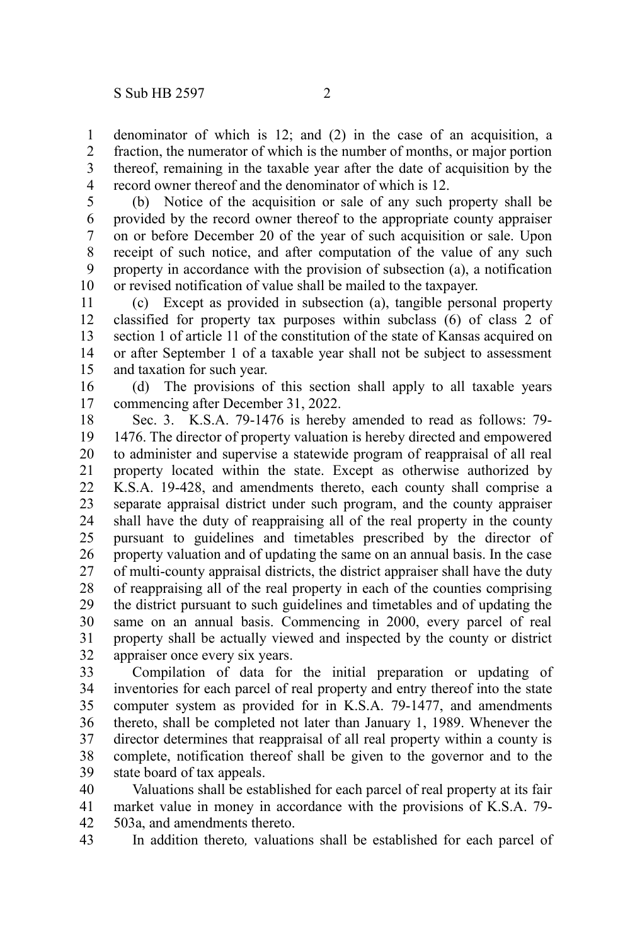denominator of which is 12; and (2) in the case of an acquisition, a fraction, the numerator of which is the number of months, or major portion thereof, remaining in the taxable year after the date of acquisition by the record owner thereof and the denominator of which is 12. 1 2 3 4

(b) Notice of the acquisition or sale of any such property shall be provided by the record owner thereof to the appropriate county appraiser on or before December 20 of the year of such acquisition or sale. Upon receipt of such notice, and after computation of the value of any such property in accordance with the provision of subsection (a), a notification or revised notification of value shall be mailed to the taxpayer. 5 6 7 8 9 10

(c) Except as provided in subsection (a), tangible personal property classified for property tax purposes within subclass (6) of class 2 of section 1 of article 11 of the constitution of the state of Kansas acquired on or after September 1 of a taxable year shall not be subject to assessment and taxation for such year. 11 12 13 14 15

(d) The provisions of this section shall apply to all taxable years commencing after December 31, 2022. 16 17

Sec. 3. K.S.A. 79-1476 is hereby amended to read as follows: 79- 1476. The director of property valuation is hereby directed and empowered to administer and supervise a statewide program of reappraisal of all real property located within the state. Except as otherwise authorized by K.S.A. 19-428, and amendments thereto, each county shall comprise a separate appraisal district under such program, and the county appraiser shall have the duty of reappraising all of the real property in the county pursuant to guidelines and timetables prescribed by the director of property valuation and of updating the same on an annual basis. In the case of multi-county appraisal districts, the district appraiser shall have the duty of reappraising all of the real property in each of the counties comprising the district pursuant to such guidelines and timetables and of updating the same on an annual basis. Commencing in 2000, every parcel of real property shall be actually viewed and inspected by the county or district appraiser once every six years. 18 19 20 21 22 23 24 25 26 27 28 29 30 31 32

Compilation of data for the initial preparation or updating of inventories for each parcel of real property and entry thereof into the state computer system as provided for in K.S.A. 79-1477, and amendments thereto, shall be completed not later than January 1, 1989. Whenever the director determines that reappraisal of all real property within a county is complete, notification thereof shall be given to the governor and to the state board of tax appeals. 33 34 35 36 37 38 39

Valuations shall be established for each parcel of real property at its fair market value in money in accordance with the provisions of K.S.A. 79- 503a, and amendments thereto. 40 41 42

In addition thereto*,* valuations shall be established for each parcel of 43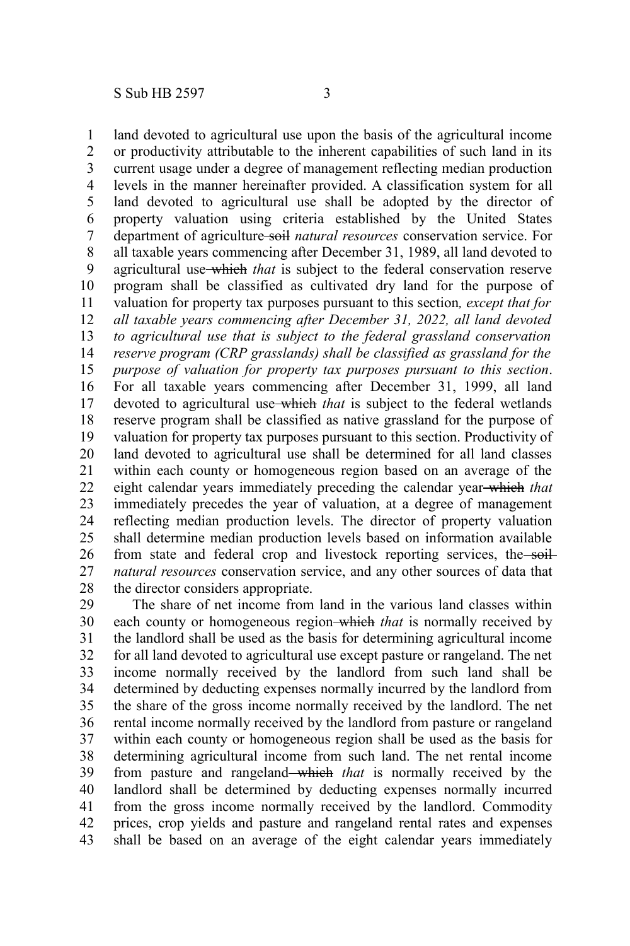land devoted to agricultural use upon the basis of the agricultural income or productivity attributable to the inherent capabilities of such land in its current usage under a degree of management reflecting median production levels in the manner hereinafter provided. A classification system for all land devoted to agricultural use shall be adopted by the director of property valuation using criteria established by the United States department of agriculture-soil natural resources conservation service. For all taxable years commencing after December 31, 1989, all land devoted to agricultural use which *that* is subject to the federal conservation reserve program shall be classified as cultivated dry land for the purpose of valuation for property tax purposes pursuant to this section*, except that for all taxable years commencing after December 31, 2022, all land devoted to agricultural use that is subject to the federal grassland conservation reserve program (CRP grasslands) shall be classified as grassland for the purpose of valuation for property tax purposes pursuant to this section*. For all taxable years commencing after December 31, 1999, all land devoted to agricultural use which *that* is subject to the federal wetlands reserve program shall be classified as native grassland for the purpose of valuation for property tax purposes pursuant to this section. Productivity of land devoted to agricultural use shall be determined for all land classes within each county or homogeneous region based on an average of the eight calendar years immediately preceding the calendar year which *that* immediately precedes the year of valuation, at a degree of management reflecting median production levels. The director of property valuation shall determine median production levels based on information available from state and federal crop and livestock reporting services, the soil*natural resources* conservation service, and any other sources of data that the director considers appropriate. 1 2 3 4 5 6 7 8 9 10 11 12 13 14 15 16 17 18 19 20 21 22 23 24 25 26 27 28

The share of net income from land in the various land classes within each county or homogeneous region-which *that* is normally received by the landlord shall be used as the basis for determining agricultural income for all land devoted to agricultural use except pasture or rangeland. The net income normally received by the landlord from such land shall be determined by deducting expenses normally incurred by the landlord from the share of the gross income normally received by the landlord. The net rental income normally received by the landlord from pasture or rangeland within each county or homogeneous region shall be used as the basis for determining agricultural income from such land. The net rental income from pasture and rangeland which *that* is normally received by the landlord shall be determined by deducting expenses normally incurred from the gross income normally received by the landlord. Commodity prices, crop yields and pasture and rangeland rental rates and expenses shall be based on an average of the eight calendar years immediately 29 30 31 32 33 34 35 36 37 38 39 40 41 42 43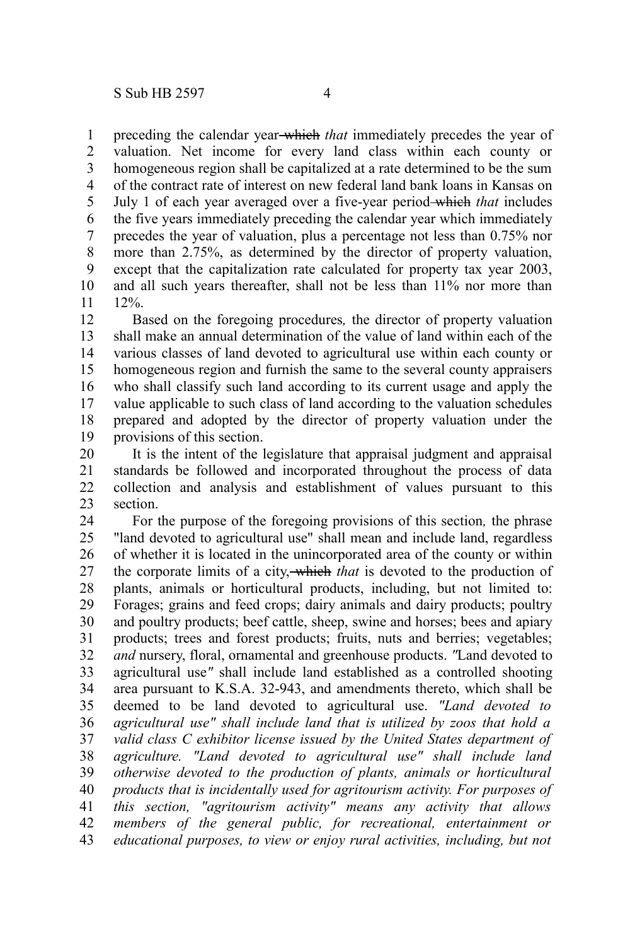preceding the calendar year which *that* immediately precedes the year of valuation. Net income for every land class within each county or homogeneous region shall be capitalized at a rate determined to be the sum of the contract rate of interest on new federal land bank loans in Kansas on July 1 of each year averaged over a five-year period which *that* includes the five years immediately preceding the calendar year which immediately precedes the year of valuation, plus a percentage not less than 0.75% nor more than 2.75%, as determined by the director of property valuation, except that the capitalization rate calculated for property tax year 2003, and all such years thereafter, shall not be less than 11% nor more than 12%. 1 2 3 4 5 6 7 8 9 10 11

Based on the foregoing procedures*,* the director of property valuation shall make an annual determination of the value of land within each of the various classes of land devoted to agricultural use within each county or homogeneous region and furnish the same to the several county appraisers who shall classify such land according to its current usage and apply the value applicable to such class of land according to the valuation schedules prepared and adopted by the director of property valuation under the provisions of this section. 12 13 14 15 16 17 18 19

It is the intent of the legislature that appraisal judgment and appraisal standards be followed and incorporated throughout the process of data collection and analysis and establishment of values pursuant to this section. 20 21 22 23

For the purpose of the foregoing provisions of this section*,* the phrase "land devoted to agricultural use" shall mean and include land, regardless of whether it is located in the unincorporated area of the county or within the corporate limits of a city, which *that* is devoted to the production of plants, animals or horticultural products, including, but not limited to: Forages; grains and feed crops; dairy animals and dairy products; poultry and poultry products; beef cattle, sheep, swine and horses; bees and apiary products; trees and forest products; fruits, nuts and berries; vegetables; *and* nursery, floral, ornamental and greenhouse products. *"*Land devoted to agricultural use*"* shall include land established as a controlled shooting area pursuant to K.S.A. 32-943, and amendments thereto, which shall be deemed to be land devoted to agricultural use. *"Land devoted to agricultural use" shall include land that is utilized by zoos that hold a valid class C exhibitor license issued by the United States department of agriculture. "Land devoted to agricultural use" shall include land otherwise devoted to the production of plants, animals or horticultural products that is incidentally used for agritourism activity. For purposes of this section, "agritourism activity" means any activity that allows members of the general public, for recreational, entertainment or educational purposes, to view or enjoy rural activities, including, but not* 24 25 26 27 28 29 30 31 32 33 34 35 36 37 38 39 40 41 42 43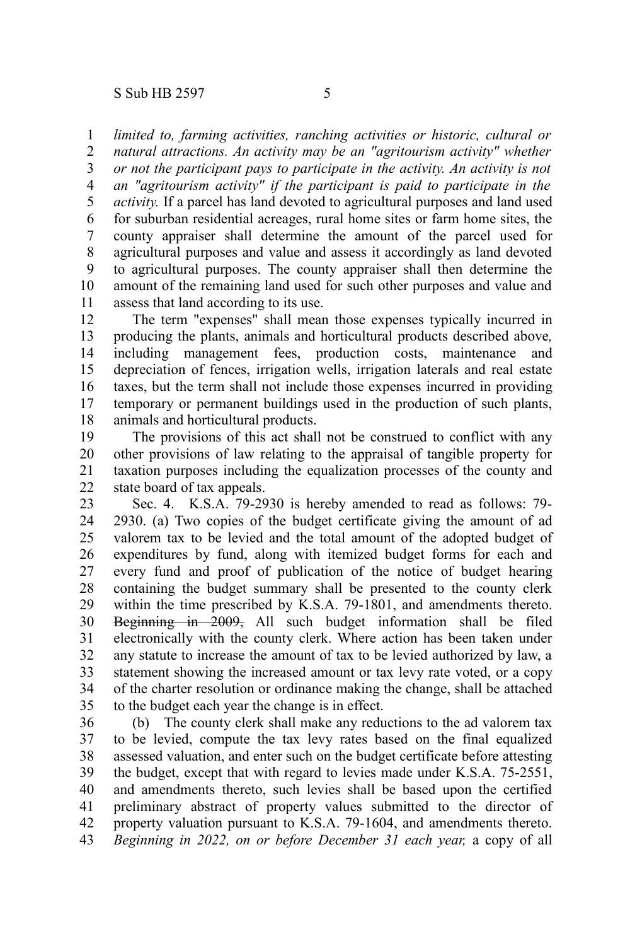*limited to, farming activities, ranching activities or historic, cultural or* 1

*natural attractions. An activity may be an "agritourism activity" whether or not the participant pays to participate in the activity. An activity is not an "agritourism activity" if the participant is paid to participate in the activity.* If a parcel has land devoted to agricultural purposes and land used for suburban residential acreages, rural home sites or farm home sites, the county appraiser shall determine the amount of the parcel used for agricultural purposes and value and assess it accordingly as land devoted to agricultural purposes. The county appraiser shall then determine the amount of the remaining land used for such other purposes and value and assess that land according to its use. 2 3 4 5 6 7 8 9 10 11

The term "expenses" shall mean those expenses typically incurred in producing the plants, animals and horticultural products described above*,* including management fees, production costs, maintenance and depreciation of fences, irrigation wells, irrigation laterals and real estate taxes, but the term shall not include those expenses incurred in providing temporary or permanent buildings used in the production of such plants, animals and horticultural products. 12 13 14 15 16 17 18

The provisions of this act shall not be construed to conflict with any other provisions of law relating to the appraisal of tangible property for taxation purposes including the equalization processes of the county and state board of tax appeals. 19 20 21 22

Sec. 4. K.S.A. 79-2930 is hereby amended to read as follows: 79- 2930. (a) Two copies of the budget certificate giving the amount of ad valorem tax to be levied and the total amount of the adopted budget of expenditures by fund, along with itemized budget forms for each and every fund and proof of publication of the notice of budget hearing containing the budget summary shall be presented to the county clerk within the time prescribed by K.S.A. 79-1801, and amendments thereto. Beginning in 2009, All such budget information shall be filed electronically with the county clerk. Where action has been taken under any statute to increase the amount of tax to be levied authorized by law, a statement showing the increased amount or tax levy rate voted, or a copy of the charter resolution or ordinance making the change, shall be attached to the budget each year the change is in effect. 23 24 25 26 27 28 29 30 31 32 33 34 35

(b) The county clerk shall make any reductions to the ad valorem tax to be levied, compute the tax levy rates based on the final equalized assessed valuation, and enter such on the budget certificate before attesting the budget, except that with regard to levies made under K.S.A. 75-2551, and amendments thereto, such levies shall be based upon the certified preliminary abstract of property values submitted to the director of property valuation pursuant to K.S.A. 79-1604, and amendments thereto. *Beginning in 2022, on or before December 31 each year,* a copy of all 36 37 38 39 40 41 42 43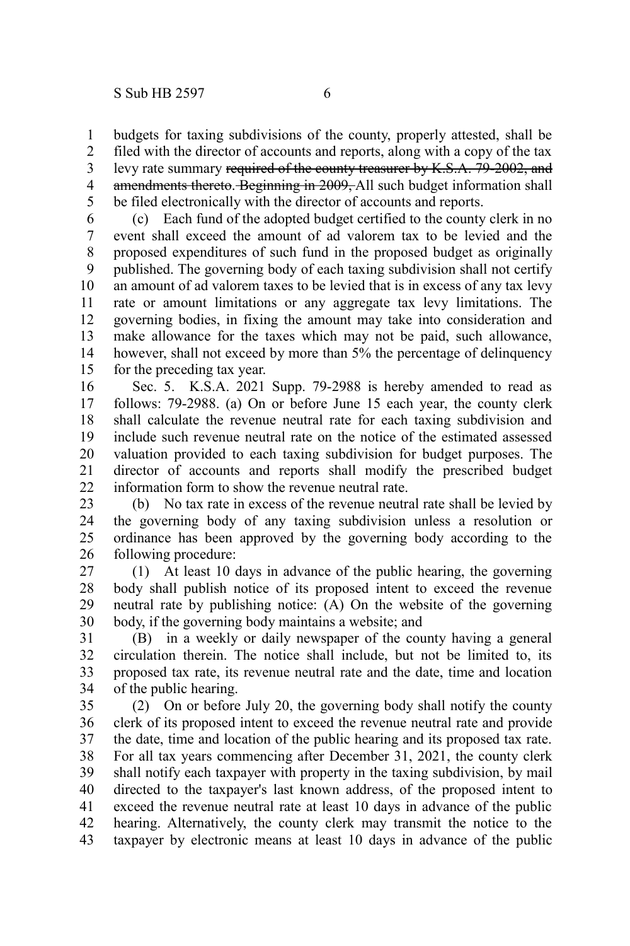budgets for taxing subdivisions of the county, properly attested, shall be 1

filed with the director of accounts and reports, along with a copy of the tax levy rate summary required of the county treasurer by K.S.A. 79-2002, and amendments thereto. Beginning in 2009, All such budget information shall be filed electronically with the director of accounts and reports. 2 3 4 5

(c) Each fund of the adopted budget certified to the county clerk in no event shall exceed the amount of ad valorem tax to be levied and the proposed expenditures of such fund in the proposed budget as originally published. The governing body of each taxing subdivision shall not certify an amount of ad valorem taxes to be levied that is in excess of any tax levy rate or amount limitations or any aggregate tax levy limitations. The governing bodies, in fixing the amount may take into consideration and make allowance for the taxes which may not be paid, such allowance, however, shall not exceed by more than 5% the percentage of delinquency for the preceding tax year. 6 7 8 9 10 11 12 13 14 15

Sec. 5. K.S.A. 2021 Supp. 79-2988 is hereby amended to read as follows: 79-2988. (a) On or before June 15 each year, the county clerk shall calculate the revenue neutral rate for each taxing subdivision and include such revenue neutral rate on the notice of the estimated assessed valuation provided to each taxing subdivision for budget purposes. The director of accounts and reports shall modify the prescribed budget information form to show the revenue neutral rate. 16 17 18 19 20 21 22

(b) No tax rate in excess of the revenue neutral rate shall be levied by the governing body of any taxing subdivision unless a resolution or ordinance has been approved by the governing body according to the following procedure: 23 24 25 26

(1) At least 10 days in advance of the public hearing, the governing body shall publish notice of its proposed intent to exceed the revenue neutral rate by publishing notice: (A) On the website of the governing body, if the governing body maintains a website; and 27 28 29 30

(B) in a weekly or daily newspaper of the county having a general circulation therein. The notice shall include, but not be limited to, its proposed tax rate, its revenue neutral rate and the date, time and location of the public hearing. 31 32 33 34

(2) On or before July 20, the governing body shall notify the county clerk of its proposed intent to exceed the revenue neutral rate and provide the date, time and location of the public hearing and its proposed tax rate. For all tax years commencing after December 31, 2021, the county clerk shall notify each taxpayer with property in the taxing subdivision, by mail directed to the taxpayer's last known address, of the proposed intent to exceed the revenue neutral rate at least 10 days in advance of the public hearing. Alternatively, the county clerk may transmit the notice to the taxpayer by electronic means at least 10 days in advance of the public 35 36 37 38 39 40 41 42 43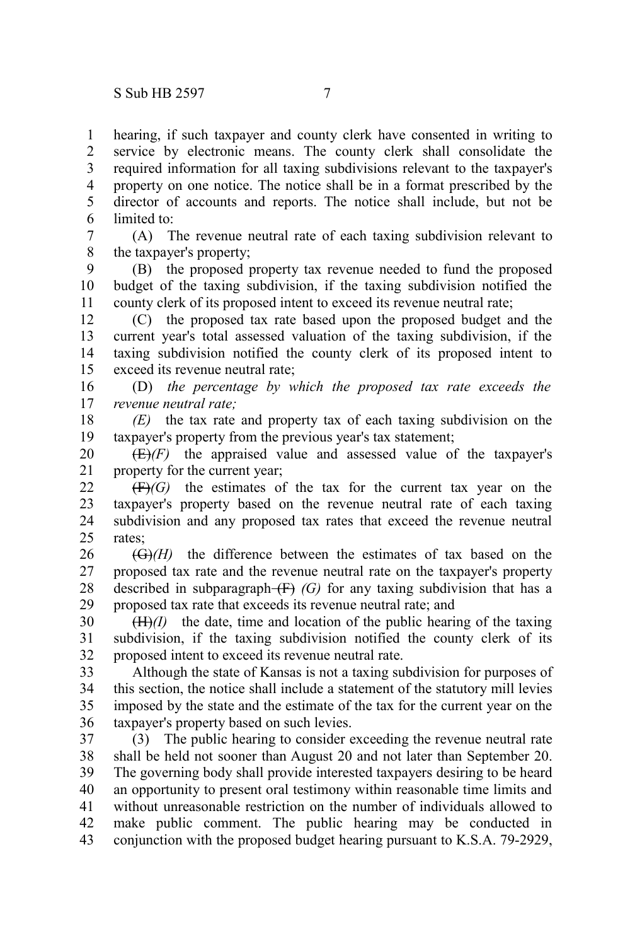hearing, if such taxpayer and county clerk have consented in writing to service by electronic means. The county clerk shall consolidate the required information for all taxing subdivisions relevant to the taxpayer's property on one notice. The notice shall be in a format prescribed by the director of accounts and reports. The notice shall include, but not be limited to: 1 2 3 4 5 6

(A) The revenue neutral rate of each taxing subdivision relevant to the taxpayer's property; 7 8

(B) the proposed property tax revenue needed to fund the proposed budget of the taxing subdivision, if the taxing subdivision notified the county clerk of its proposed intent to exceed its revenue neutral rate; 9 10 11

(C) the proposed tax rate based upon the proposed budget and the current year's total assessed valuation of the taxing subdivision, if the taxing subdivision notified the county clerk of its proposed intent to exceed its revenue neutral rate; 12 13 14 15

(D) *the percentage by which the proposed tax rate exceeds the revenue neutral rate;* 16 17

*(E)* the tax rate and property tax of each taxing subdivision on the taxpayer's property from the previous year's tax statement; 18 19

 $(E)/F$  the appraised value and assessed value of the taxpayer's property for the current year; 20 21

(F)*(G)* the estimates of the tax for the current tax year on the taxpayer's property based on the revenue neutral rate of each taxing subdivision and any proposed tax rates that exceed the revenue neutral rates; 22 23 24 25

(G)*(H)* the difference between the estimates of tax based on the proposed tax rate and the revenue neutral rate on the taxpayer's property described in subparagraph  $(E)$  *(G)* for any taxing subdivision that has a proposed tax rate that exceeds its revenue neutral rate; and 26 27 28 29

 $(H)(I)$  the date, time and location of the public hearing of the taxing subdivision, if the taxing subdivision notified the county clerk of its proposed intent to exceed its revenue neutral rate. 30 31 32

Although the state of Kansas is not a taxing subdivision for purposes of this section, the notice shall include a statement of the statutory mill levies imposed by the state and the estimate of the tax for the current year on the taxpayer's property based on such levies. 33 34 35 36

(3) The public hearing to consider exceeding the revenue neutral rate shall be held not sooner than August 20 and not later than September 20. The governing body shall provide interested taxpayers desiring to be heard an opportunity to present oral testimony within reasonable time limits and without unreasonable restriction on the number of individuals allowed to make public comment. The public hearing may be conducted in conjunction with the proposed budget hearing pursuant to K.S.A. 79-2929, 37 38 39 40 41 42 43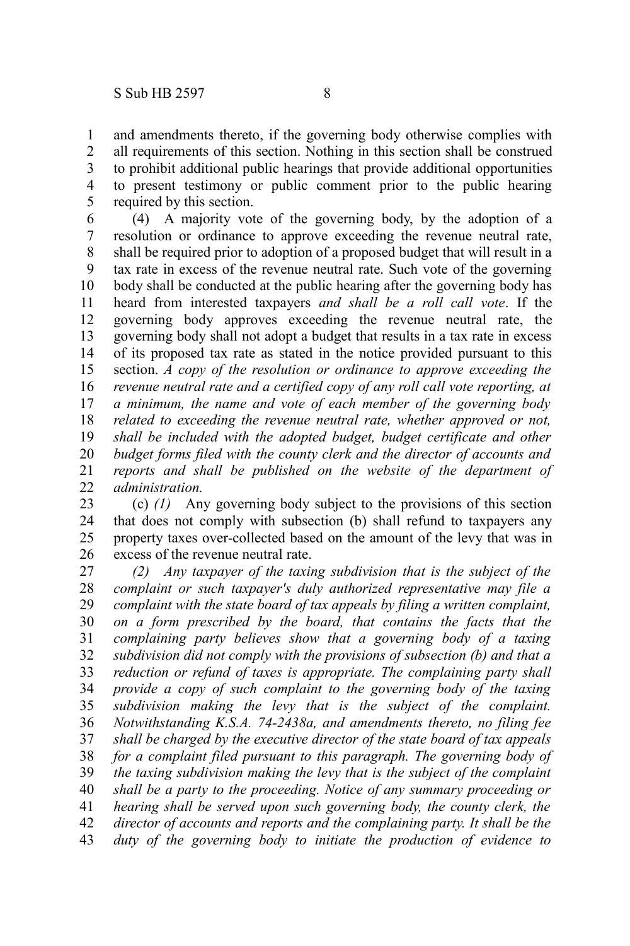and amendments thereto, if the governing body otherwise complies with all requirements of this section. Nothing in this section shall be construed to prohibit additional public hearings that provide additional opportunities to present testimony or public comment prior to the public hearing required by this section. 1 2 3 4 5

(4) A majority vote of the governing body, by the adoption of a resolution or ordinance to approve exceeding the revenue neutral rate, shall be required prior to adoption of a proposed budget that will result in a tax rate in excess of the revenue neutral rate. Such vote of the governing body shall be conducted at the public hearing after the governing body has heard from interested taxpayers *and shall be a roll call vote*. If the governing body approves exceeding the revenue neutral rate, the governing body shall not adopt a budget that results in a tax rate in excess of its proposed tax rate as stated in the notice provided pursuant to this section. *A copy of the resolution or ordinance to approve exceeding the revenue neutral rate and a certified copy of any roll call vote reporting, at a minimum, the name and vote of each member of the governing body related to exceeding the revenue neutral rate, whether approved or not, shall be included with the adopted budget, budget certificate and other budget forms filed with the county clerk and the director of accounts and reports and shall be published on the website of the department of administration.* 6 7 8 9 10 11 12 13 14 15 16 17 18 19 20 21 22

(c) *(1)* Any governing body subject to the provisions of this section that does not comply with subsection (b) shall refund to taxpayers any property taxes over-collected based on the amount of the levy that was in excess of the revenue neutral rate. 23 24 25 26

*(2) Any taxpayer of the taxing subdivision that is the subject of the complaint or such taxpayer's duly authorized representative may file a complaint with the state board of tax appeals by filing a written complaint, on a form prescribed by the board, that contains the facts that the complaining party believes show that a governing body of a taxing subdivision did not comply with the provisions of subsection (b) and that a reduction or refund of taxes is appropriate. The complaining party shall provide a copy of such complaint to the governing body of the taxing subdivision making the levy that is the subject of the complaint. Notwithstanding K.S.A. 74-2438a, and amendments thereto, no filing fee shall be charged by the executive director of the state board of tax appeals for a complaint filed pursuant to this paragraph. The governing body of the taxing subdivision making the levy that is the subject of the complaint shall be a party to the proceeding. Notice of any summary proceeding or hearing shall be served upon such governing body, the county clerk, the director of accounts and reports and the complaining party. It shall be the duty of the governing body to initiate the production of evidence to* 27 28 29 30 31 32 33 34 35 36 37 38 39 40 41 42 43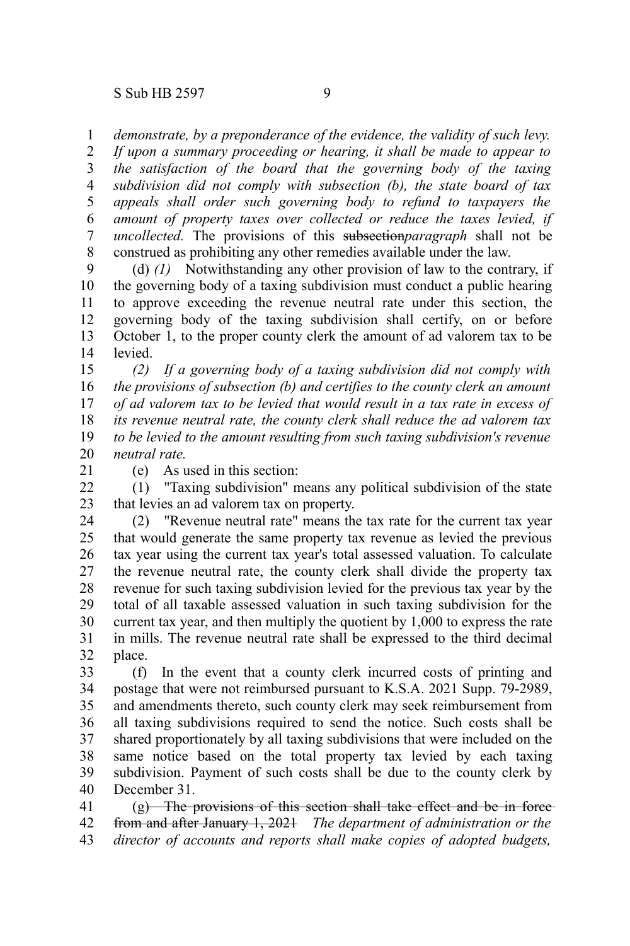*demonstrate, by a preponderance of the evidence, the validity of such levy.* 1

*If upon a summary proceeding or hearing, it shall be made to appear to the satisfaction of the board that the governing body of the taxing subdivision did not comply with subsection (b), the state board of tax appeals shall order such governing body to refund to taxpayers the amount of property taxes over collected or reduce the taxes levied, if uncollected.* The provisions of this subsection*paragraph* shall not be construed as prohibiting any other remedies available under the law. 2 3 4 5 6 7 8

(d) *(1)* Notwithstanding any other provision of law to the contrary, if the governing body of a taxing subdivision must conduct a public hearing to approve exceeding the revenue neutral rate under this section, the governing body of the taxing subdivision shall certify, on or before October 1, to the proper county clerk the amount of ad valorem tax to be levied. 9 10 11 12 13 14

*(2) If a governing body of a taxing subdivision did not comply with the provisions of subsection (b) and certifies to the county clerk an amount of ad valorem tax to be levied that would result in a tax rate in excess of its revenue neutral rate, the county clerk shall reduce the ad valorem tax to be levied to the amount resulting from such taxing subdivision's revenue neutral rate.* 15 16 17 18 19 20

21

(e) As used in this section:

(1) "Taxing subdivision" means any political subdivision of the state that levies an ad valorem tax on property. 22 23

(2) "Revenue neutral rate" means the tax rate for the current tax year that would generate the same property tax revenue as levied the previous tax year using the current tax year's total assessed valuation. To calculate the revenue neutral rate, the county clerk shall divide the property tax revenue for such taxing subdivision levied for the previous tax year by the total of all taxable assessed valuation in such taxing subdivision for the current tax year, and then multiply the quotient by 1,000 to express the rate in mills. The revenue neutral rate shall be expressed to the third decimal place. 24 25 26 27 28 29 30 31 32

(f) In the event that a county clerk incurred costs of printing and postage that were not reimbursed pursuant to K.S.A. 2021 Supp. 79-2989, and amendments thereto, such county clerk may seek reimbursement from all taxing subdivisions required to send the notice. Such costs shall be shared proportionately by all taxing subdivisions that were included on the same notice based on the total property tax levied by each taxing subdivision. Payment of such costs shall be due to the county clerk by December 31. 33 34 35 36 37 38 39 40

(g) The provisions of this section shall take effect and be in forcefrom and after January 1, 2021 *The department of administration or the director of accounts and reports shall make copies of adopted budgets,* 41 42 43